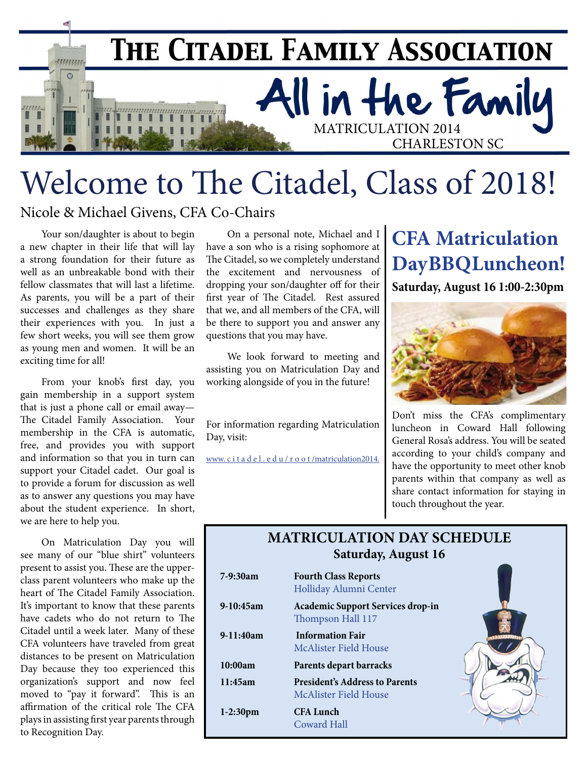

# Welcome to The Citadel, Class of 2018!

Nicole & Michael Givens, CFA Co-Chairs

Your son/daughter is about to begin a new chapter in their life that will lay a strong foundation for their future as well as an unbreakable bond with their fellow classmates that will last a lifetime. As parents, you will be a part of their successes and challenges as they share their experiences with you. In just a few short weeks, you will see them grow as young men and women. It will be an exciting time for all!

From your knob's first day, you gain membership in a support system that is just a phone call or email away— The Citadel Family Association. Your membership in the CFA is automatic, free, and provides you with support and information so that you in turn can support your Citadel cadet. Our goal is to provide a forum for discussion as well as to answer any questions you may have about the student experience. In short, we are here to help you.

On Matriculation Day you will see many of our "blue shirt" volunteers present to assist you. These are the upperclass parent volunteers who make up the heart of The Citadel Family Association. It's important to know that these parents have cadets who do not return to The Citadel until a week later. Many of these CFA volunteers have traveled from great distances to be present on Matriculation Day because they too experienced this organization's support and now feel moved to "pay it forward". This is an affirmation of the critical role The CFA plays in assisting first year parents through to Recognition Day.

On a personal note, Michael and I have a son who is a rising sophomore at The Citadel, so we completely understand the excitement and nervousness of dropping your son/daughter off for their first year of The Citadel. Rest assured that we, and all members of the CFA, will be there to support you and answer any questions that you may have.

We look forward to meeting and assisting you on Matriculation Day and working alongside of you in the future!

For information regarding Matriculation Day, visit:

[www. c i t a d e l . e d u / r o o t /matriculation2014.](http://www.citadel.edu/root/matriculation2014)

## **CFA Matriculation Day BBQ Luncheon!**

**Saturday, August 16 1:00-2:30pm**



Don't miss the CFA's complimentary luncheon in Coward Hall following General Rosa's address. You will be seated according to your child's company and have the opportunity to meet other knob parents within that company as well as share contact information for staying in touch throughout the year.

#### **MATRICULATION DAY SCHEDULE Saturday, August 16**

| $7-9:30am$  | <b>Fourth Class Reports</b><br>Holliday Alumni Center          |
|-------------|----------------------------------------------------------------|
| $9-10:45am$ | <b>Academic Support Services drop-in</b><br>Thompson Hall 117  |
| 9-11:40am   | <b>Information Fair</b><br>McAlister Field House               |
| 10:00am     | Parents depart barracks                                        |
| 11:45am     | <b>President's Address to Parents</b><br>McAlister Field House |
| $1-2:30$ pm | <b>CFA Lunch</b><br>Coward Hall                                |

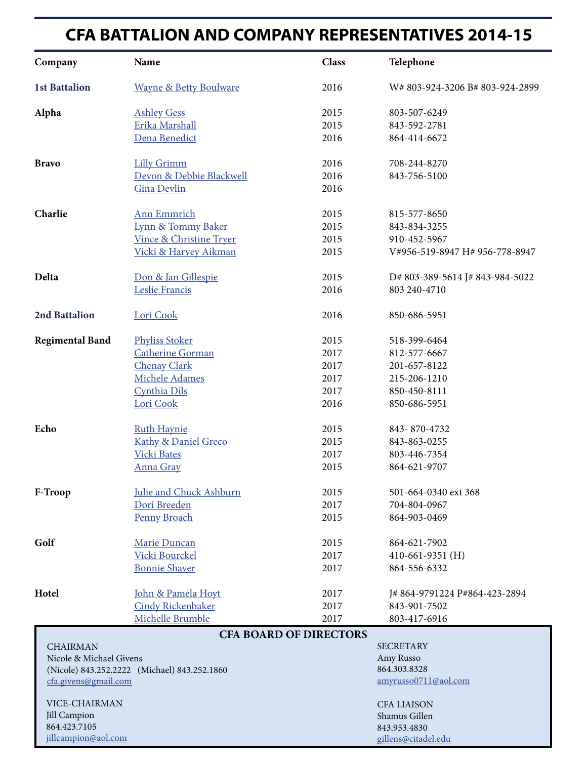#### **CFA BATTALION AND COMPANY REPRESENTATIVES 2014-15**

| Company                                                                 | Name                              | <b>Class</b>                  | Telephone                       |
|-------------------------------------------------------------------------|-----------------------------------|-------------------------------|---------------------------------|
| <b>1st Battalion</b>                                                    | <b>Wayne &amp; Betty Boulware</b> | 2016                          | W#803-924-3206 B#803-924-2899   |
| Alpha                                                                   | <b>Ashley Gess</b>                | 2015                          | 803-507-6249                    |
|                                                                         | Erika Marshall                    | 2015                          | 843-592-2781                    |
|                                                                         | Dena Benedict                     | 2016                          | 864-414-6672                    |
| <b>Bravo</b>                                                            | <b>Lilly Grimm</b>                | 2016                          | 708-244-8270                    |
|                                                                         | Devon & Debbie Blackwell          | 2016                          | 843-756-5100                    |
|                                                                         | <b>Gina Devlin</b>                | 2016                          |                                 |
| Charlie                                                                 | Ann Emmrich                       | 2015                          | 815-577-8650                    |
|                                                                         | Lynn & Tommy Baker                | 2015                          | 843-834-3255                    |
|                                                                         | Vince & Christine Tryer           | 2015                          | 910-452-5967                    |
|                                                                         | Vicki & Harvey Aikman             | 2015                          | V#956-519-8947 H# 956-778-8947  |
| Delta                                                                   | Don & Jan Gillespie               | 2015                          | D# 803-389-5614 J# 843-984-5022 |
|                                                                         | Leslie Francis                    | 2016                          | 803 240-4710                    |
| <b>2nd Battalion</b>                                                    | Lori Cook                         | 2016                          | 850-686-5951                    |
| <b>Regimental Band</b>                                                  | <b>Phyliss Stoker</b>             | 2015                          | 518-399-6464                    |
|                                                                         | <b>Catherine Gorman</b>           | 2017                          | 812-577-6667                    |
|                                                                         | <b>Chenay Clark</b>               | 2017                          | 201-657-8122                    |
|                                                                         | Michele Adames                    | 2017                          | 215-206-1210                    |
|                                                                         | Cynthia Dils                      | 2017                          | 850-450-8111                    |
|                                                                         | Lori Cook                         | 2016                          | 850-686-5951                    |
| Echo                                                                    | <b>Ruth Haynie</b>                | 2015                          | 843-870-4732                    |
|                                                                         | Kathy & Daniel Greco              | 2015                          | 843-863-0255                    |
|                                                                         | <b>Vicki Bates</b>                | 2017                          | 803-446-7354                    |
|                                                                         | Anna Gray                         | 2015                          | 864-621-9707                    |
| F-Troop                                                                 | Julie and Chuck Ashburn           | 2015                          | 501-664-0340 ext 368            |
|                                                                         | Dori Breeden                      | 2017                          | 704-804-0967                    |
|                                                                         | <b>Penny Broach</b>               | 2015                          | 864-903-0469                    |
| Golf                                                                    | Marie Duncan                      | 2015                          | 864-621-7902                    |
|                                                                         | Vicki Bourckel                    | 2017                          | 410-661-9351 $(H)$              |
|                                                                         | <b>Bonnie Shaver</b>              | 2017                          | 864-556-6332                    |
| Hotel                                                                   | John & Pamela Hoyt                | 2017                          | J#864-9791224 P#864-423-2894    |
|                                                                         | <b>Cindy Rickenbaker</b>          | 2017                          | 843-901-7502                    |
|                                                                         | Michelle Brumble                  | 2017                          | 803-417-6916                    |
|                                                                         |                                   | <b>CFA BOARD OF DIRECTORS</b> |                                 |
| <b>CHAIRMAN</b>                                                         |                                   |                               | <b>SECRETARY</b>                |
| Nicole & Michael Givens<br>(Nicole) 843.252.2222 (Michael) 843.252.1860 |                                   |                               | Amy Russo<br>864.303.8328       |
| cfa.givens@gmail.com                                                    |                                   |                               | amyrusso0711@aol.com            |
| VICE-CHAIRMAN                                                           |                                   |                               | <b>CFA LIAISON</b>              |
| Jill Campion                                                            |                                   |                               | Shamus Gillen                   |
| 864.423.7105                                                            |                                   |                               | 843.953.4830                    |
| jillcampion@aol.com                                                     |                                   |                               | gillens@citadel.edu             |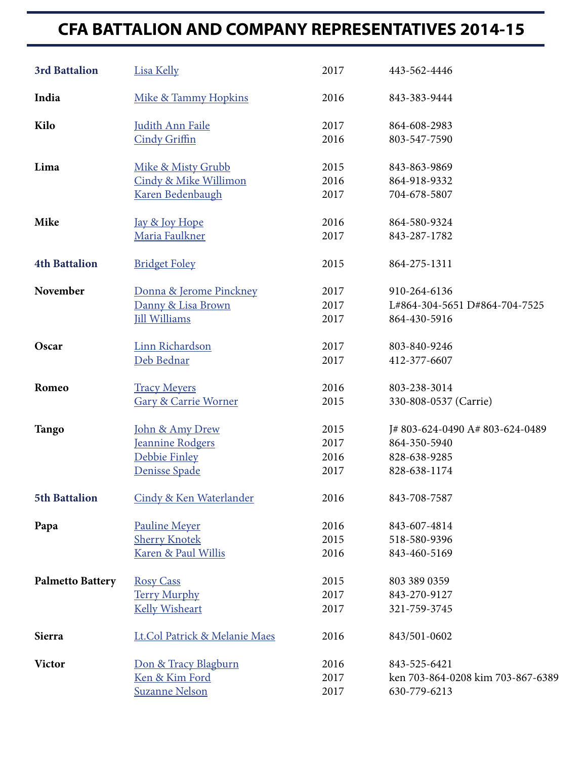### **CFA BATTALION AND COMPANY REPRESENTATIVES 2014-15**

| <b>3rd Battalion</b>    | <b>Lisa Kelly</b>               | 2017 | 443-562-4446                      |
|-------------------------|---------------------------------|------|-----------------------------------|
| India                   | Mike & Tammy Hopkins            | 2016 | 843-383-9444                      |
| Kilo                    | <b>Judith Ann Faile</b>         | 2017 | 864-608-2983                      |
|                         | <b>Cindy Griffin</b>            | 2016 | 803-547-7590                      |
| Lima                    | Mike & Misty Grubb              | 2015 | 843-863-9869                      |
|                         | Cindy & Mike Willimon           | 2016 | 864-918-9332                      |
|                         | Karen Bedenbaugh                | 2017 | 704-678-5807                      |
| Mike                    | Jay & Joy Hope                  | 2016 | 864-580-9324                      |
|                         | Maria Faulkner                  | 2017 | 843-287-1782                      |
| <b>4th Battalion</b>    | <b>Bridget Foley</b>            | 2015 | 864-275-1311                      |
| November                | Donna & Jerome Pinckney         | 2017 | 910-264-6136                      |
|                         | Danny & Lisa Brown              | 2017 | L#864-304-5651 D#864-704-7525     |
|                         | <b>Jill Williams</b>            | 2017 | 864-430-5916                      |
| Oscar                   | Linn Richardson                 | 2017 | 803-840-9246                      |
|                         | Deb Bednar                      | 2017 | 412-377-6607                      |
| Romeo                   | <b>Tracy Meyers</b>             | 2016 | 803-238-3014                      |
|                         | <b>Gary &amp; Carrie Worner</b> | 2015 | 330-808-0537 (Carrie)             |
| <b>Tango</b>            | John & Amy Drew                 | 2015 | J#803-624-0490 A#803-624-0489     |
|                         | Jeannine Rodgers                | 2017 | 864-350-5940                      |
|                         | Debbie Finley                   | 2016 | 828-638-9285                      |
|                         | Denisse Spade                   | 2017 | 828-638-1174                      |
| <b>5th Battalion</b>    | Cindy & Ken Waterlander         | 2016 | 843-708-7587                      |
| Papa                    | <b>Pauline Meyer</b>            | 2016 | 843-607-4814                      |
|                         | <b>Sherry Knotek</b>            | 2015 | 518-580-9396                      |
|                         | Karen & Paul Willis             | 2016 | 843-460-5169                      |
| <b>Palmetto Battery</b> | <b>Rosy Cass</b>                | 2015 | 803 389 0359                      |
|                         | <b>Terry Murphy</b>             | 2017 | 843-270-9127                      |
|                         | <b>Kelly Wisheart</b>           | 2017 | 321-759-3745                      |
| Sierra                  | Lt.Col Patrick & Melanie Maes   | 2016 | 843/501-0602                      |
| <b>Victor</b>           | Don & Tracy Blagburn            | 2016 | 843-525-6421                      |
|                         | Ken & Kim Ford                  | 2017 | ken 703-864-0208 kim 703-867-6389 |
|                         | <b>Suzanne Nelson</b>           | 2017 | 630-779-6213                      |